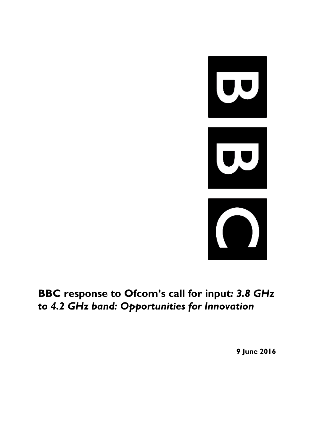

## **BBC response to Ofcom's call for input***: 3.8 GHz to 4.2 GHz band: Opportunities for Innovation*

**9 June 2016**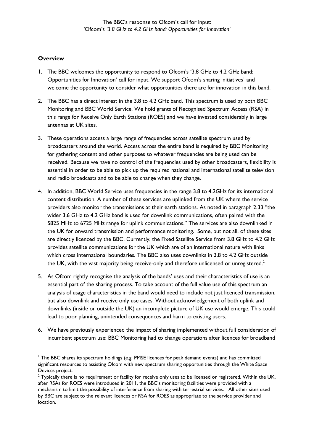## **Overview**

-

- 1. The BBC welcomes the opportunity to respond to Ofcom's '3.8 GHz to 4.2 GHz band: Opportunities for Innovation' call for input. We support Ofcom's sharing initiatives<sup>1</sup> and welcome the opportunity to consider what opportunities there are for innovation in this band.
- 2. The BBC has a direct interest in the 3.8 to 4.2 GHz band. This spectrum is used by both BBC Monitoring and BBC World Service. We hold grants of Recognised Spectrum Access (RSA) in this range for Receive Only Earth Stations (ROES) and we have invested considerably in large antennas at UK sites.
- 3. These operations access a large range of frequencies across satellite spectrum used by broadcasters around the world. Access across the entire band is required by BBC Monitoring for gathering content and other purposes so whatever frequencies are being used can be received. Because we have no control of the frequencies used by other broadcasters, flexibility is essential in order to be able to pick up the required national and international satellite television and radio broadcasts and to be able to change when they change.
- 4. In addition, BBC World Service uses frequencies in the range 3.8 to 4.2GHz for its international content distribution. A number of these services are uplinked from the UK where the service providers also monitor the transmissions at their earth stations. As noted in paragraph 2.33 "the wider 3.6 GHz to 4.2 GHz band is used for downlink communications, often paired with the 5825 MHz to 6725 MHz range for uplink communications." The services are also downlinked in the UK for onward transmission and performance monitoring. Some, but not all, of these sites are directly licenced by the BBC. Currently, the Fixed Satellite Service from 3.8 GHz to 4.2 GHz provides satellite communications for the UK which are of an international nature with links which cross international boundaries. The BBC also uses downlinks in 3.8 to 4.2 GHz outside the UK, with the vast majority being receive-only and therefore unlicensed or unregistered.<sup>2</sup>
- 5. As Ofcom rightly recognise the analysis of the bands' uses and their characteristics of use is an essential part of the sharing process. To take account of the full value use of this spectrum an analysis of usage characteristics in the band would need to include not just licenced transmission, but also downlink and receive only use cases. Without acknowledgement of both uplink and downlinks (inside or outside the UK) an incomplete picture of UK use would emerge. This could lead to poor planning, unintended consequences and harm to existing users.
- 6. We have previously experienced the impact of sharing implemented without full consideration of incumbent spectrum use: BBC Monitoring had to change operations after licences for broadband

<sup>1</sup> The BBC shares its spectrum holdings (e.g. PMSE licences for peak demand events) and has committed significant resources to assisting Ofcom with new spectrum sharing opportunities through the White Space Devices project.

 $2$  Typically there is no requirement or facility for receive only uses to be licensed or registered. Within the UK, after RSAs for ROES were introduced in 2011, the BBC's monitoring facilities were provided with a mechanism to limit the possibility of interference from sharing with terrestrial services. All other sites used by BBC are subject to the relevant licences or RSA for ROES as appropriate to the service provider and location.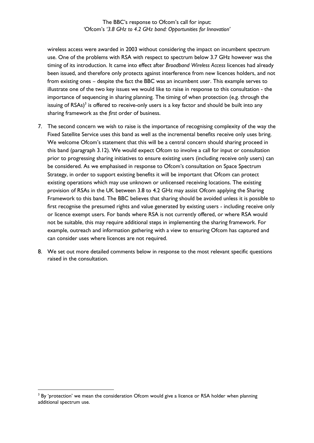The BBC's response to Ofcom's call for input: *'*Ofcom's *'3.8 GHz to 4.2 GHz band: Opportunities for Innovation'*

wireless access were awarded in 2003 without considering the impact on incumbent spectrum use. One of the problems with RSA with respect to spectrum below 3.7 GHz however was the timing of its introduction. It came into effect after *Broadband Wireless Access* licences had already been issued, and therefore only protects against interference from new licences holders, and not from existing ones – despite the fact the BBC was an incumbent user. This example serves to illustrate one of the two key issues we would like to raise in response to this consultation - the importance of sequencing in sharing planning. The timing of when protection (e.g. through the issuing of  $RSAs$ )<sup>3</sup> is offered to receive-only users is a key factor and should be built into any sharing framework as the *first* order of business.

- 7. The second concern we wish to raise is the importance of recognising complexity of the way the Fixed Satellite Service uses this band as well as the incremental benefits receive only uses bring. We welcome Ofcom's statement that this will be a central concern should sharing proceed in this band (paragraph 3.12). We would expect Ofcom to involve a call for input or consultation prior to progressing sharing initiatives to ensure existing users (including receive only users) can be considered. As we emphasised in response to Ofcom's consultation on Space Spectrum Strategy, in order to support existing benefits it will be important that Ofcom can protect existing operations which may use unknown or unlicensed receiving locations. The existing provision of RSAs in the UK between 3.8 to 4.2 GHz may assist Ofcom applying the Sharing Framework to this band. The BBC believes that sharing should be avoided unless it is possible to first recognise the presumed rights and value generated by existing users - including receive only or licence exempt users. For bands where RSA is not currently offered, or where RSA would not be suitable, this may require additional steps in implementing the sharing framework. For example, outreach and information gathering with a view to ensuring Ofcom has captured and can consider uses where licences are not required.
- 8. We set out more detailed comments below in response to the most relevant specific questions raised in the consultation.

-

 $3$  By 'protection' we mean the consideration Ofcom would give a licence or RSA holder when planning additional spectrum use.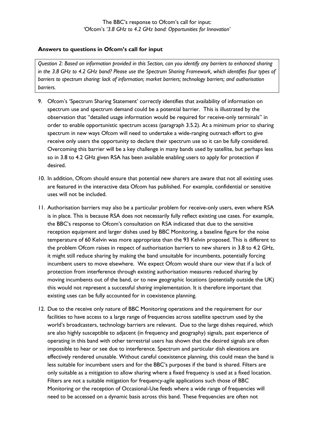## **Answers to questions in Ofcom's call for input**

*Question 2: Based on information provided in this Section, can you identify any barriers to enhanced sharing in the 3.8 GHz to 4.2 GHz band? Please use the Spectrum Sharing Framework, which identifies four types of barriers to spectrum sharing: lack of information; market barriers; technology barriers; and authorisation barriers.*

- 9. Ofcom's 'Spectrum Sharing Statement' correctly identifies that availability of information on spectrum use and spectrum demand could be a potential barrier. This is illustrated by the observation that "detailed usage information would be required for receive-only terminals" in order to enable opportunistic spectrum access (paragraph 3.5.2). At a minimum prior to sharing spectrum in new ways Ofcom will need to undertake a wide-ranging outreach effort to give receive only users the opportunity to declare their spectrum use so it can be fully considered. Overcoming this barrier will be a key challenge in many bands used by satellite, but perhaps less so in 3.8 to 4.2 GHz given RSA has been available enabling users to apply for protection if desired.
- 10. In addition, Ofcom should ensure that potential new sharers are aware that not all existing uses are featured in the interactive data Ofcom has published. For example, confidential or sensitive uses will not be included.
- 11. Authorisation barriers may also be a particular problem for receive-only users, even where RSA is in place. This is because RSA does not necessarily fully reflect existing use cases. For example, the BBC's response to Ofcom's consultation on RSA indicated that due to the sensitive reception equipment and larger dishes used by BBC Monitoring, a baseline figure for the noise temperature of 60 Kelvin was more appropriate than the 93 Kelvin proposed. This is different to the problem Ofcom raises in respect of authorisation barriers to new sharers in 3.8 to 4.2 GHz, it might still reduce sharing by making the band unsuitable for incumbents, potentially forcing incumbent users to move elsewhere. We expect Ofcom would share our view that if a lack of protection from interference through existing authorisation measures reduced sharing by moving incumbents out of the band, or to new geographic locations (potentially outside the UK) this would not represent a successful *sharing* implementation. It is therefore important that existing uses can be fully accounted for in coexistence planning.
- 12. Due to the receive only nature of BBC Monitoring operations and the requirement for our facilities to have access to a large range of frequencies across satellite spectrum used by the world's broadcasters, technology barriers are relevant. Due to the large dishes required, which are also highly susceptible to adjacent (in frequency and geography) signals, past experience of operating in this band with other terrestrial users has shown that the desired signals are often impossible to hear or see due to interference. Spectrum and particular dish elevations are effectively rendered unusable. Without careful coexistence planning, this could mean the band is less suitable for incumbent users and for the BBC's purposes if the band is shared. Filters are only suitable as a mitigation to allow sharing where a fixed frequency is used at a fixed location. Filters are not a suitable mitigation for frequency-agile applications such those of BBC Monitoring or the reception of Occasional-Use feeds where a wide range of frequencies will need to be accessed on a dynamic basis across this band. These frequencies are often not